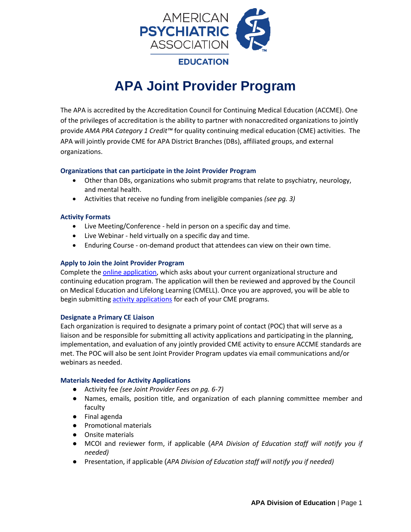

# **APA Joint Provider Program**

The APA is accredited by the Accreditation Council for Continuing Medical Education (ACCME). One of the privileges of accreditation is the ability to partner with nonaccredited organizations to jointly provide *AMA PRA Category 1 Credit™* for quality continuing medical education (CME) activities. The APA will jointly provide CME for APA District Branches (DBs), affiliated groups, and external organizations.

#### **Organizations that can participate in the Joint Provider Program**

- Other than DBs, organizations who submit programs that relate to psychiatry, neurology, and mental health.
- Activities that receive no funding from ineligible companies *(see pg. 3)*

#### **Activity Formats**

- Live Meeting/Conference held in person on a specific day and time.
- Live Webinar held virtually on a specific day and time.
- Enduring Course on-demand product that attendees can view on their own time.

#### **Apply to Join the Joint Provider Program**

Complete the [online application,](https://docs.google.com/forms/d/e/1FAIpQLSfwqIFRNRzUQIqaLFCVVZRHmLi3ThMDkWQVlVlyBOzWctC_WA/viewform) which asks about your current organizational structure and continuing education program. The application will then be reviewed and approved by the Council on Medical Education and Lifelong Learning (CMELL). Once you are approved, you will be able to begin submitting **activity applications** for each of your CME programs.

#### **Designate a Primary CE Liaison**

Each organization is required to designate a primary point of contact (POC) that will serve as a liaison and be responsible for submitting all activity applications and participating in the planning, implementation, and evaluation of any jointly provided CME activity to ensure ACCME standards are met. The POC will also be sent Joint Provider Program updates via email communications and/or webinars as needed.

#### **Materials Needed for Activity Applications**

- Activity fee *(see Joint Provider Fees on pg. 6-7)*
- Names, emails, position title, and organization of each planning committee member and faculty
- Final agenda
- Promotional materials
- Onsite materials
- MCOI and reviewer form, if applicable (*APA Division of Education staff will notify you if needed)*
- Presentation, if applicable (*APA Division of Education staff will notify you if needed)*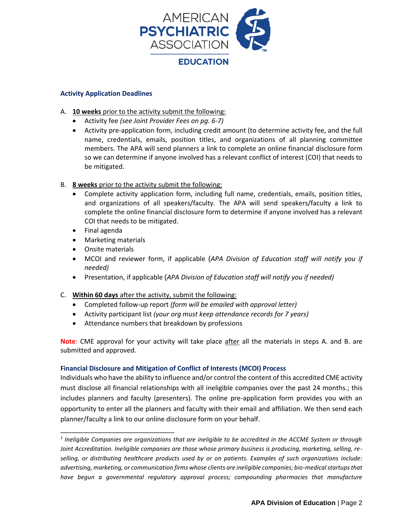

#### **Activity Application Deadlines**

- A. **10 weeks** prior to the activity submit the following:
	- Activity fee *(see Joint Provider Fees on pg. 6-7)*
	- Activity pre-application form, including credit amount (to determine activity fee, and the full name, credentials, emails, position titles, and organizations of all planning committee members. The APA will send planners a link to complete an online financial disclosure form so we can determine if anyone involved has a relevant conflict of interest (COI) that needs to be mitigated.
- B. **8 weeks** prior to the activity submit the following:
	- Complete activity application form, including full name, credentials, emails, position titles, and organizations of all speakers/faculty. The APA will send speakers/faculty a link to complete the online financial disclosure form to determine if anyone involved has a relevant COI that needs to be mitigated.
	- Final agenda
	- Marketing materials

\_\_\_\_\_\_\_\_\_\_\_\_\_\_\_\_\_\_\_\_\_\_\_\_\_\_\_\_\_\_\_

- Onsite materials
- MCOI and reviewer form, if applicable (*APA Division of Education staff will notify you if needed)*
- Presentation, if applicable (*APA Division of Education staff will notify you if needed)*
- C. **Within 60 days** after the activity, submit the following:
	- Completed follow-up report *(form will be emailed with approval letter)*
	- Activity participant list *(your org must keep attendance records for 7 years)*
	- Attendance numbers that breakdown by professions

**Note**: CME approval for your activity will take place after all the materials in steps A. and B. are submitted and approved.

#### **Financial Disclosure and Mitigation of Conflict of Interests (MCOI) Process**

Individuals who have the ability to influence and/or control the content of this accredited CME activity must disclose all financial relationships with all ineligible companies over the past 24 months.; this includes planners and faculty (presenters). The online pre-application form provides you with an opportunity to enter all the planners and faculty with their email and affiliation. We then send each planner/faculty a link to our online disclosure form on your behalf.

*<sup>1</sup> Ineligible Companies are organizations that are ineligible to be accredited in the ACCME System or through Joint Accreditation. Ineligible companies are those whose primary business is producing, marketing, selling, reselling, or distributing healthcare products used by or on patients. Examples of such organizations include: advertising, marketing, or communication firms whose clients are ineligible companies; bio-medical startups that*  have begun a governmental regulatory approval process; compounding pharmacies that manufacture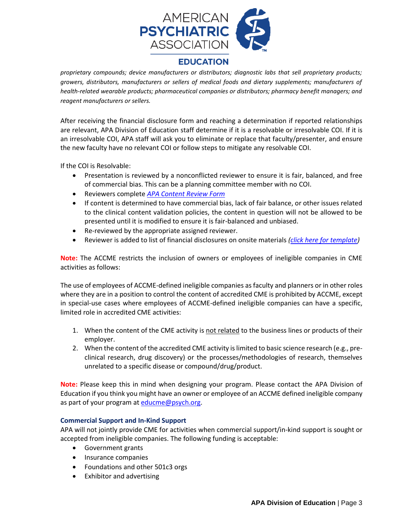

### **EDUCATION**

*proprietary compounds; device manufacturers or distributors; diagnostic labs that sell proprietary products; growers, distributors, manufacturers or sellers of medical foods and dietary supplements; manufacturers of health-related wearable products; pharmaceutical companies or distributors; pharmacy benefit managers; and reagent manufacturers or sellers.*

After receiving the financial disclosure form and reaching a determination if reported relationships are relevant, APA Division of Education staff determine if it is a resolvable or irresolvable COI. If it is an irresolvable COI, APA staff will ask you to eliminate or replace that faculty/presenter, and ensure the new faculty have no relevant COI or follow steps to mitigate any resolvable COI.

If the COI is Resolvable:

- Presentation is reviewed by a nonconflicted reviewer to ensure it is fair, balanced, and free of commercial bias. This can be a planning committee member with no COI.
- Reviewers complete *[APA Content Review Form](https://media.ceforms.com/templates/apa/supp_forms/CE_Content_Review_Form_APA_v102021.docx)*
- If content is determined to have commercial bias, lack of fair balance, or other issues related to the clinical content validation policies, the content in question will not be allowed to be presented until it is modified to ensure it is fair-balanced and unbiased.
- Re-reviewed by the appropriate assigned reviewer.
- Reviewer is added to list of financial disclosures on onsite materials *[\(click here for template\)](https://media.ceforms.com/templates/apa/supp_forms/Financial_Disclosures_Template-APA_JointProviderProgramv102021.pdf)*

**Note:** The ACCME restricts the inclusion of owners or employees of ineligible companies in CME activities as follows:

The use of employees of ACCME-defined ineligible companies as faculty and planners or in other roles where they are in a position to control the content of accredited CME is prohibited by ACCME, except in special-use cases where employees of ACCME-defined ineligible companies can have a specific, limited role in accredited CME activities:

- 1. When the content of the CME activity is not related to the business lines or products of their employer.
- 2. When the content of the accredited CME activity is limited to basic science research (e.g., preclinical research, drug discovery) or the processes/methodologies of research, themselves unrelated to a specific disease or compound/drug/product.

**Note:** Please keep this in mind when designing your program. Please contact the APA Division of Education if you think you might have an owner or employee of an ACCME defined ineligible company as part of your program at [educme@psych.org.](mailto:educme@psych.org)

#### **Commercial Support and In-Kind Support**

APA will not jointly provide CME for activities when commercial support/in-kind support is sought or accepted from ineligible companies. The following funding is acceptable:

- Government grants
- Insurance companies
- Foundations and other 501c3 orgs
- Exhibitor and advertising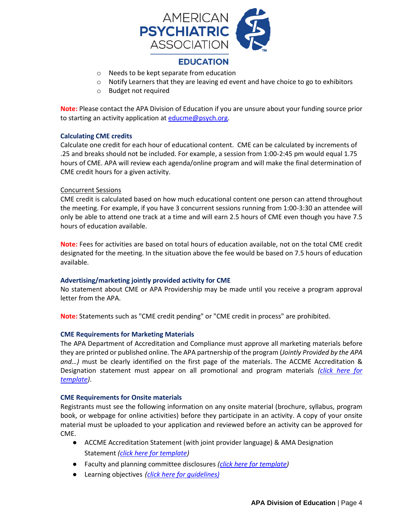

- o Needs to be kept separate from education
- $\circ$  Notify Learners that they are leaving ed event and have choice to go to exhibitors
- o Budget not required

**Note:** Please contact the APA Division of Education if you are unsure about your funding source prior to starting an activity application a[t educme@psych.org.](mailto:educme@psych.org)

#### **Calculating CME credits**

Calculate one credit for each hour of educational content. CME can be calculated by increments of .25 and breaks should not be included. For example, a session from 1:00-2:45 pm would equal 1.75 hours of CME. APA will review each agenda/online program and will make the final determination of CME credit hours for a given activity.

#### Concurrent Sessions

CME credit is calculated based on how much educational content one person can attend throughout the meeting. For example, if you have 3 concurrent sessions running from 1:00-3:30 an attendee will only be able to attend one track at a time and will earn 2.5 hours of CME even though you have 7.5 hours of education available.

**Note:** Fees for activities are based on total hours of education available, not on the total CME credit designated for the meeting. In the situation above the fee would be based on 7.5 hours of education available.

#### **Advertising/marketing jointly provided activity for CME**

No statement about CME or APA Providership may be made until you receive a program approval letter from the APA.

**Note:** Statements such as "CME credit pending" or "CME credit in process" are prohibited.

#### **CME Requirements for Marketing Materials**

The APA Department of Accreditation and Compliance must approve all marketing materials before they are printed or published online. The APA partnership of the program (*Jointly Provided by the APA and…)* must be clearly identified on the first page of the materials. The ACCME Accreditation & Designation statement must appear on all promotional and program materials *[\(click here for](https://media.ceforms.com/templates/apa/supp_forms/Accreditation_Designation_Statements_APA_JointProviderProgramv102021.pdf)  [template\)](https://media.ceforms.com/templates/apa/supp_forms/Accreditation_Designation_Statements_APA_JointProviderProgramv102021.pdf)*.

#### **CME Requirements for Onsite materials**

Registrants must see the following information on any onsite material (brochure, syllabus, program book, or webpage for online activities) before they participate in an activity. A copy of your onsite material must be uploaded to your application and reviewed before an activity can be approved for CME.

- ACCME Accreditation Statement (with joint provider language) & AMA Designation Statement *[\(click here for template\)](https://media.ceforms.com/templates/apa/supp_forms/Accreditation_Designation_Statements_APA_JointProviderProgramv102021.pdf)*
- Faculty and planning committee disclosures *[\(click here for template\)](https://media.ceforms.com/templates/apa/supp_forms/Financial_Disclosures_Template-APA_JointProviderProgramv102021.pdf)*
- Learning objectives *[\(click here for guidelines\)](https://media.ceforms.com/templates/apa/supp_forms/Developing_Learning_Objectives_APAv102021.pdf)*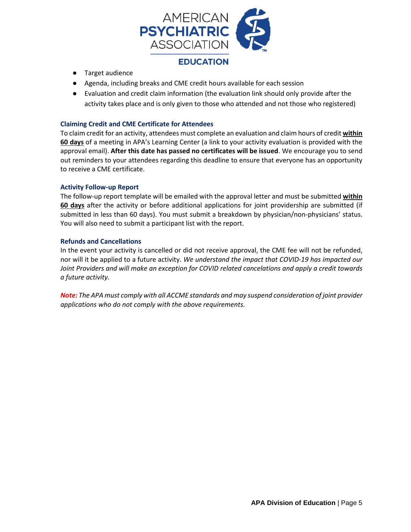

- Target audience
- Agenda, including breaks and CME credit hours available for each session
- Evaluation and credit claim information (the evaluation link should only provide after the activity takes place and is only given to those who attended and not those who registered)

#### **Claiming Credit and CME Certificate for Attendees**

To claim credit for an activity, attendees must complete an evaluation and claim hours of credit **within 60 days** of a meeting in APA's Learning Center (a link to your activity evaluation is provided with the approval email). **After this date has passed no certificates will be issued**. We encourage you to send out reminders to your attendees regarding this deadline to ensure that everyone has an opportunity to receive a CME certificate.

#### **Activity Follow-up Report**

The follow-up report template will be emailed with the approval letter and must be submitted **within 60 days** after the activity or before additional applications for joint providership are submitted (if submitted in less than 60 days). You must submit a breakdown by physician/non-physicians' status. You will also need to submit a participant list with the report.

#### **Refunds and Cancellations**

In the event your activity is cancelled or did not receive approval, the CME fee will not be refunded, nor will it be applied to a future activity. *We understand the impact that COVID-19 has impacted our Joint Providers and will make an exception for COVID related cancelations and apply a credit towards a future activity.*

*Note: The APA must comply with all ACCME standards and may suspend consideration of joint provider applications who do not comply with the above requirements.*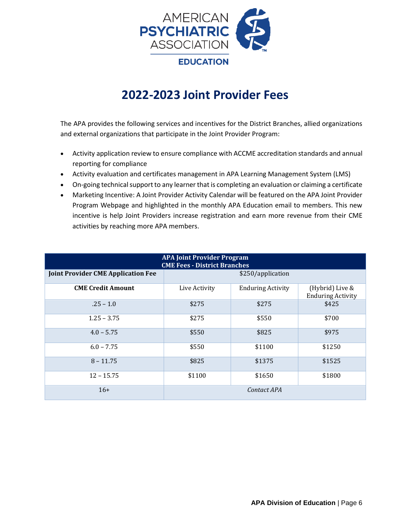

## **2022-2023 Joint Provider Fees**

The APA provides the following services and incentives for the District Branches, allied organizations and external organizations that participate in the Joint Provider Program:

- Activity application review to ensure compliance with ACCME accreditation standards and annual reporting for compliance
- Activity evaluation and certificates management in APA Learning Management System (LMS)
- On-going technical support to any learner that is completing an evaluation or claiming a certificate
- Marketing Incentive: A Joint Provider Activity Calendar will be featured on the APA Joint Provider Program Webpage and highlighted in the monthly APA Education email to members. This new incentive is help Joint Providers increase registration and earn more revenue from their CME activities by reaching more APA members.

| <b>APA Joint Provider Program</b><br><b>CME Fees - District Branches</b> |                   |                          |                                             |  |  |
|--------------------------------------------------------------------------|-------------------|--------------------------|---------------------------------------------|--|--|
| <b>Joint Provider CME Application Fee</b>                                | \$250/application |                          |                                             |  |  |
| <b>CME Credit Amount</b>                                                 | Live Activity     | <b>Enduring Activity</b> | (Hybrid) Live &<br><b>Enduring Activity</b> |  |  |
| $.25 - 1.0$                                                              | \$275             | \$275                    | \$425                                       |  |  |
| $1.25 - 3.75$                                                            | \$275             | \$550                    | \$700                                       |  |  |
| $4.0 - 5.75$                                                             | \$550             | \$825                    | \$975                                       |  |  |
| $6.0 - 7.75$                                                             | \$550             | \$1100                   | \$1250                                      |  |  |
| $8 - 11.75$                                                              | \$825             | \$1375                   | \$1525                                      |  |  |
| $12 - 15.75$                                                             | \$1100            | \$1650                   | \$1800                                      |  |  |
| $16+$                                                                    | Contact APA       |                          |                                             |  |  |